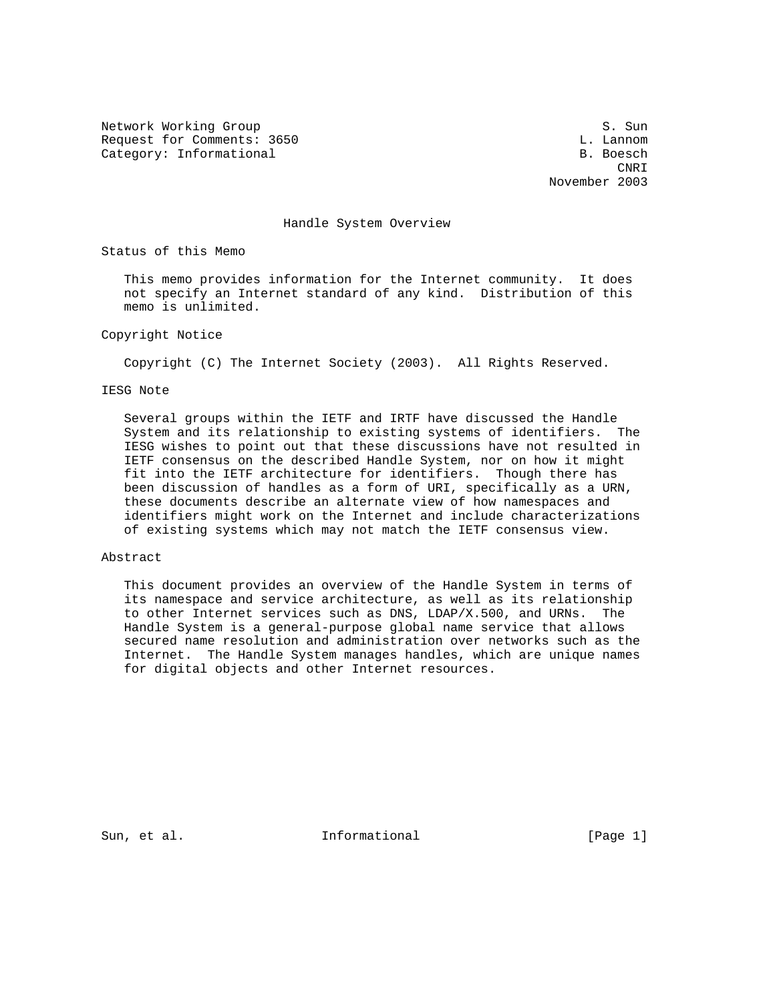Network Working Group 3. Sun Network Working Group 3. Sun S. Sun S. Sun S. Sun S. Sun S. Sun S. Sun S. Sun S. Sun S. Sun S. Sun S. Sun S. Sun S. Sun S. Sun S. Sun S. Sun S. Sun S. Sun S. Sun S. Sun S. Sun S. Sun S. Sun S. Request for Comments: 3650 Category: Informational B. Boesch

**CNRI** November 2003

### Handle System Overview

Status of this Memo

 This memo provides information for the Internet community. It does not specify an Internet standard of any kind. Distribution of this memo is unlimited.

### Copyright Notice

Copyright (C) The Internet Society (2003). All Rights Reserved.

# IESG Note

 Several groups within the IETF and IRTF have discussed the Handle System and its relationship to existing systems of identifiers. The IESG wishes to point out that these discussions have not resulted in IETF consensus on the described Handle System, nor on how it might fit into the IETF architecture for identifiers. Though there has been discussion of handles as a form of URI, specifically as a URN, these documents describe an alternate view of how namespaces and identifiers might work on the Internet and include characterizations of existing systems which may not match the IETF consensus view.

### Abstract

 This document provides an overview of the Handle System in terms of its namespace and service architecture, as well as its relationship to other Internet services such as DNS, LDAP/X.500, and URNs. The Handle System is a general-purpose global name service that allows secured name resolution and administration over networks such as the Internet. The Handle System manages handles, which are unique names for digital objects and other Internet resources.

Sun, et al. 10 mm informational Theorem is the same state of  $[Page 1]$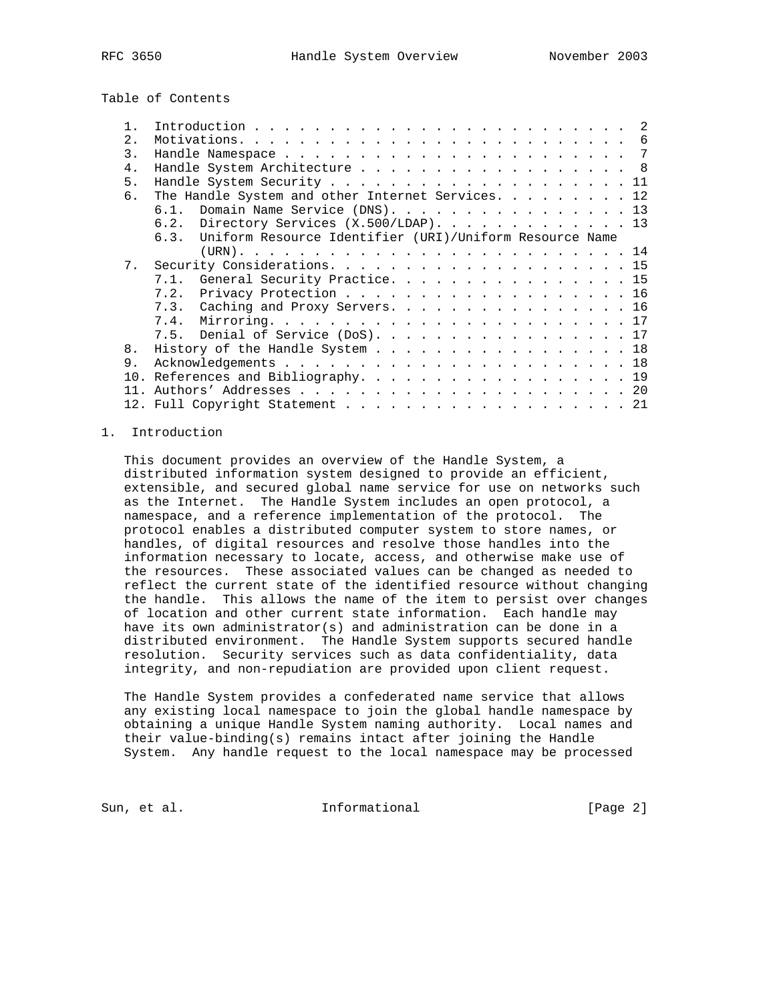Table of Contents

| 2.1<br>3.<br>Handle System Architecture 8<br>4 <sub>1</sub><br>5 <sub>1</sub><br>б.<br>The Handle System and other Internet Services. 12<br>6.1. Domain Name Service (DNS). 13<br>Directory Services $(X.500/LDAP)$ 13<br>6.2.<br>6.3. Uniform Resource Identifier (URI)/Uniform Resource Name |  |
|------------------------------------------------------------------------------------------------------------------------------------------------------------------------------------------------------------------------------------------------------------------------------------------------|--|
|                                                                                                                                                                                                                                                                                                |  |
|                                                                                                                                                                                                                                                                                                |  |
|                                                                                                                                                                                                                                                                                                |  |
|                                                                                                                                                                                                                                                                                                |  |
|                                                                                                                                                                                                                                                                                                |  |
|                                                                                                                                                                                                                                                                                                |  |
|                                                                                                                                                                                                                                                                                                |  |
|                                                                                                                                                                                                                                                                                                |  |
|                                                                                                                                                                                                                                                                                                |  |
|                                                                                                                                                                                                                                                                                                |  |
| General Security Practice. 15<br>7.1.                                                                                                                                                                                                                                                          |  |
| Privacy Protection 16<br>7.2.                                                                                                                                                                                                                                                                  |  |
| 7.3. Caching and Proxy Servers. 16                                                                                                                                                                                                                                                             |  |
| 7.4.                                                                                                                                                                                                                                                                                           |  |
| 7.5. Denial of Service (DoS). 17                                                                                                                                                                                                                                                               |  |
| History of the Handle System 18<br>8.                                                                                                                                                                                                                                                          |  |
| 9.                                                                                                                                                                                                                                                                                             |  |
| 10. References and Bibliography. 19                                                                                                                                                                                                                                                            |  |
|                                                                                                                                                                                                                                                                                                |  |
| 12. Full Copyright Statement 21                                                                                                                                                                                                                                                                |  |

# 1. Introduction

 This document provides an overview of the Handle System, a distributed information system designed to provide an efficient, extensible, and secured global name service for use on networks such as the Internet. The Handle System includes an open protocol, a namespace, and a reference implementation of the protocol. The protocol enables a distributed computer system to store names, or handles, of digital resources and resolve those handles into the information necessary to locate, access, and otherwise make use of the resources. These associated values can be changed as needed to reflect the current state of the identified resource without changing the handle. This allows the name of the item to persist over changes of location and other current state information. Each handle may have its own administrator(s) and administration can be done in a distributed environment. The Handle System supports secured handle resolution. Security services such as data confidentiality, data integrity, and non-repudiation are provided upon client request.

 The Handle System provides a confederated name service that allows any existing local namespace to join the global handle namespace by obtaining a unique Handle System naming authority. Local names and their value-binding(s) remains intact after joining the Handle System. Any handle request to the local namespace may be processed

Sun, et al. 10. Informational 1. [Page 2]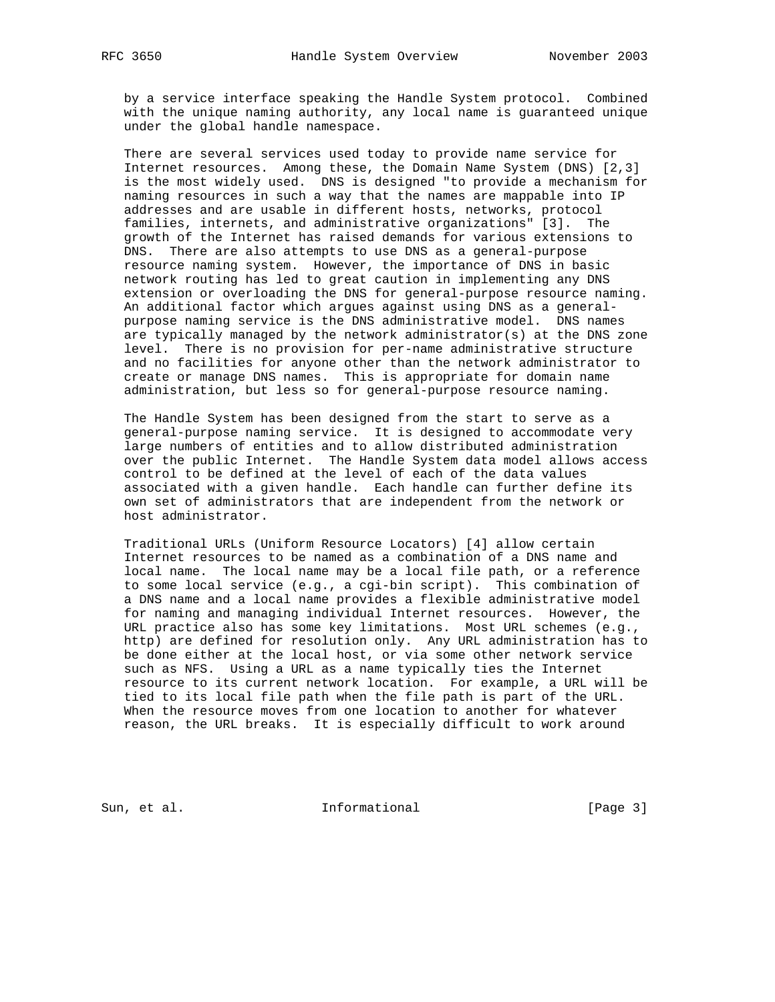by a service interface speaking the Handle System protocol. Combined with the unique naming authority, any local name is guaranteed unique under the global handle namespace.

 There are several services used today to provide name service for Internet resources. Among these, the Domain Name System (DNS) [2,3] is the most widely used. DNS is designed "to provide a mechanism for naming resources in such a way that the names are mappable into IP addresses and are usable in different hosts, networks, protocol families, internets, and administrative organizations" [3]. The growth of the Internet has raised demands for various extensions to DNS. There are also attempts to use DNS as a general-purpose resource naming system. However, the importance of DNS in basic network routing has led to great caution in implementing any DNS extension or overloading the DNS for general-purpose resource naming. An additional factor which argues against using DNS as a general purpose naming service is the DNS administrative model. DNS names are typically managed by the network administrator(s) at the DNS zone level. There is no provision for per-name administrative structure and no facilities for anyone other than the network administrator to create or manage DNS names. This is appropriate for domain name administration, but less so for general-purpose resource naming.

 The Handle System has been designed from the start to serve as a general-purpose naming service. It is designed to accommodate very large numbers of entities and to allow distributed administration over the public Internet. The Handle System data model allows access control to be defined at the level of each of the data values associated with a given handle. Each handle can further define its own set of administrators that are independent from the network or host administrator.

 Traditional URLs (Uniform Resource Locators) [4] allow certain Internet resources to be named as a combination of a DNS name and local name. The local name may be a local file path, or a reference to some local service (e.g., a cgi-bin script). This combination of a DNS name and a local name provides a flexible administrative model for naming and managing individual Internet resources. However, the URL practice also has some key limitations. Most URL schemes (e.g., http) are defined for resolution only. Any URL administration has to be done either at the local host, or via some other network service such as NFS. Using a URL as a name typically ties the Internet resource to its current network location. For example, a URL will be tied to its local file path when the file path is part of the URL. When the resource moves from one location to another for whatever reason, the URL breaks. It is especially difficult to work around

Sun, et al. 10. Informational 1. [Page 3]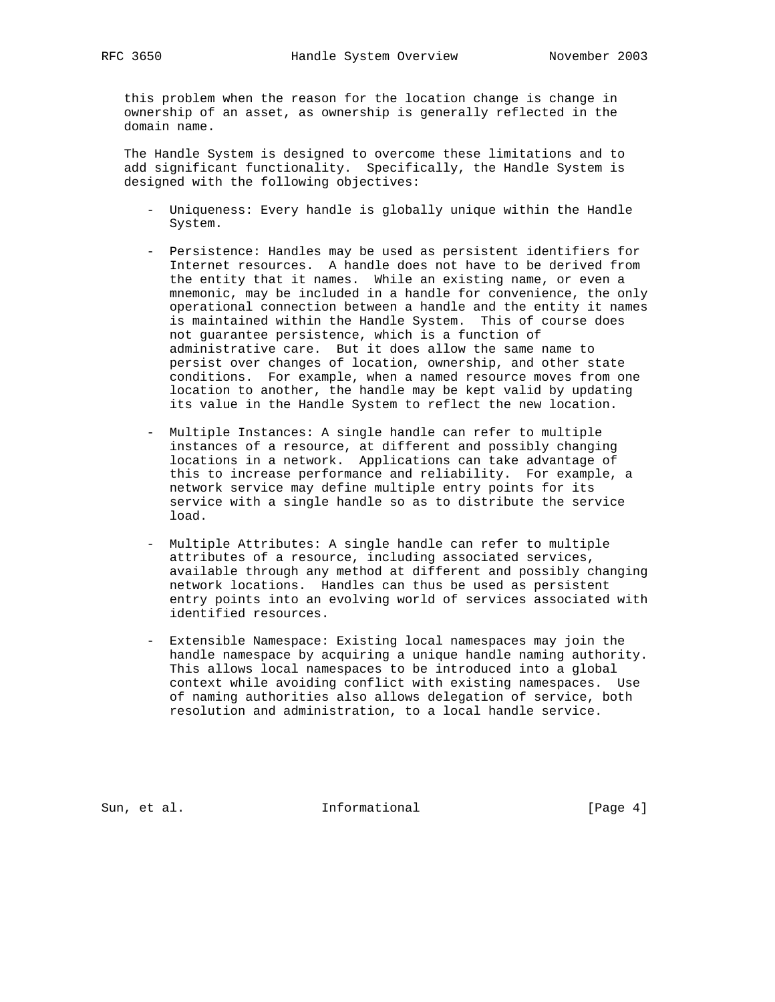this problem when the reason for the location change is change in ownership of an asset, as ownership is generally reflected in the domain name.

 The Handle System is designed to overcome these limitations and to add significant functionality. Specifically, the Handle System is designed with the following objectives:

- Uniqueness: Every handle is globally unique within the Handle System.
- Persistence: Handles may be used as persistent identifiers for Internet resources. A handle does not have to be derived from the entity that it names. While an existing name, or even a mnemonic, may be included in a handle for convenience, the only operational connection between a handle and the entity it names is maintained within the Handle System. This of course does not guarantee persistence, which is a function of administrative care. But it does allow the same name to persist over changes of location, ownership, and other state conditions. For example, when a named resource moves from one location to another, the handle may be kept valid by updating its value in the Handle System to reflect the new location.
- Multiple Instances: A single handle can refer to multiple instances of a resource, at different and possibly changing locations in a network. Applications can take advantage of this to increase performance and reliability. For example, a network service may define multiple entry points for its service with a single handle so as to distribute the service load.
- Multiple Attributes: A single handle can refer to multiple attributes of a resource, including associated services, available through any method at different and possibly changing network locations. Handles can thus be used as persistent entry points into an evolving world of services associated with identified resources.
- Extensible Namespace: Existing local namespaces may join the handle namespace by acquiring a unique handle naming authority. This allows local namespaces to be introduced into a global context while avoiding conflict with existing namespaces. Use of naming authorities also allows delegation of service, both resolution and administration, to a local handle service.

Sun, et al. 10. Informational 1. [Page 4]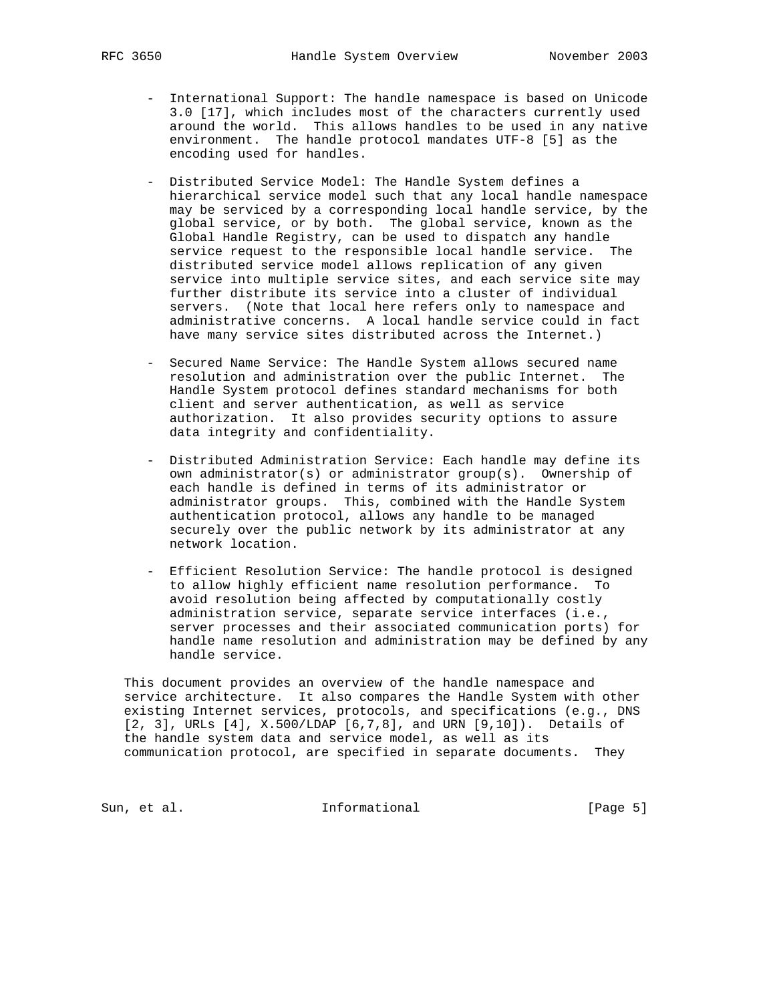- International Support: The handle namespace is based on Unicode 3.0 [17], which includes most of the characters currently used around the world. This allows handles to be used in any native environment. The handle protocol mandates UTF-8 [5] as the encoding used for handles.
- Distributed Service Model: The Handle System defines a hierarchical service model such that any local handle namespace may be serviced by a corresponding local handle service, by the global service, or by both. The global service, known as the Global Handle Registry, can be used to dispatch any handle service request to the responsible local handle service. The distributed service model allows replication of any given service into multiple service sites, and each service site may further distribute its service into a cluster of individual servers. (Note that local here refers only to namespace and administrative concerns. A local handle service could in fact have many service sites distributed across the Internet.)
- Secured Name Service: The Handle System allows secured name resolution and administration over the public Internet. The Handle System protocol defines standard mechanisms for both client and server authentication, as well as service authorization. It also provides security options to assure data integrity and confidentiality.
- Distributed Administration Service: Each handle may define its own administrator(s) or administrator group(s). Ownership of each handle is defined in terms of its administrator or administrator groups. This, combined with the Handle System authentication protocol, allows any handle to be managed securely over the public network by its administrator at any network location.
- Efficient Resolution Service: The handle protocol is designed to allow highly efficient name resolution performance. To avoid resolution being affected by computationally costly administration service, separate service interfaces (i.e., server processes and their associated communication ports) for handle name resolution and administration may be defined by any handle service.

 This document provides an overview of the handle namespace and service architecture. It also compares the Handle System with other existing Internet services, protocols, and specifications (e.g., DNS [2, 3], URLs [4], X.500/LDAP [6,7,8], and URN [9,10]). Details of the handle system data and service model, as well as its communication protocol, are specified in separate documents. They

Sun, et al. 10. Informational 1. [Page 5]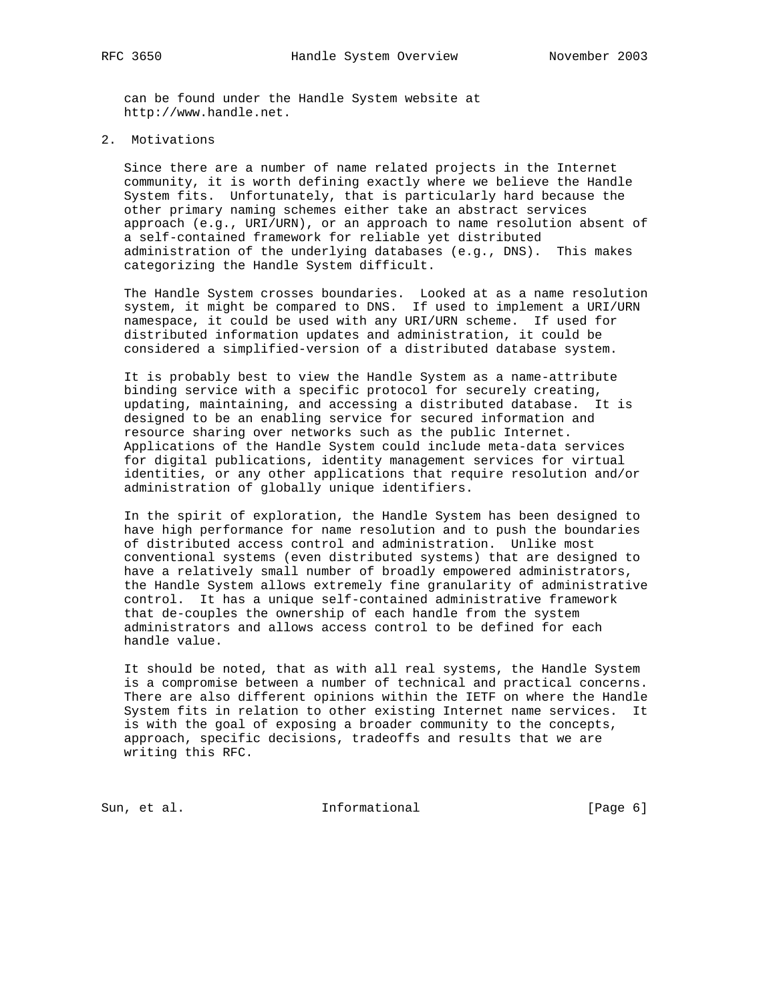can be found under the Handle System website at http://www.handle.net.

2. Motivations

 Since there are a number of name related projects in the Internet community, it is worth defining exactly where we believe the Handle System fits. Unfortunately, that is particularly hard because the other primary naming schemes either take an abstract services approach (e.g., URI/URN), or an approach to name resolution absent of a self-contained framework for reliable yet distributed administration of the underlying databases (e.g., DNS). This makes categorizing the Handle System difficult.

 The Handle System crosses boundaries. Looked at as a name resolution system, it might be compared to DNS. If used to implement a URI/URN namespace, it could be used with any URI/URN scheme. If used for distributed information updates and administration, it could be considered a simplified-version of a distributed database system.

 It is probably best to view the Handle System as a name-attribute binding service with a specific protocol for securely creating, updating, maintaining, and accessing a distributed database. It is designed to be an enabling service for secured information and resource sharing over networks such as the public Internet. Applications of the Handle System could include meta-data services for digital publications, identity management services for virtual identities, or any other applications that require resolution and/or administration of globally unique identifiers.

 In the spirit of exploration, the Handle System has been designed to have high performance for name resolution and to push the boundaries of distributed access control and administration. Unlike most conventional systems (even distributed systems) that are designed to have a relatively small number of broadly empowered administrators, the Handle System allows extremely fine granularity of administrative control. It has a unique self-contained administrative framework that de-couples the ownership of each handle from the system administrators and allows access control to be defined for each handle value.

 It should be noted, that as with all real systems, the Handle System is a compromise between a number of technical and practical concerns. There are also different opinions within the IETF on where the Handle System fits in relation to other existing Internet name services. It is with the goal of exposing a broader community to the concepts, approach, specific decisions, tradeoffs and results that we are writing this RFC.

Sun, et al. 10. Informational 1. [Page 6]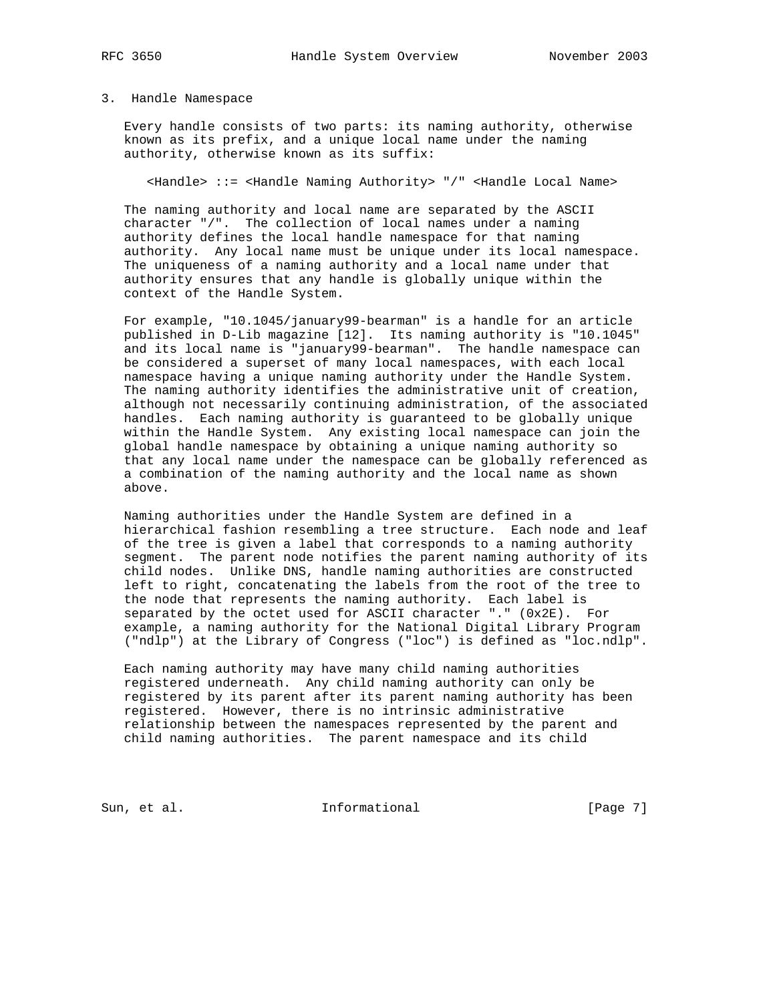#### 3. Handle Namespace

 Every handle consists of two parts: its naming authority, otherwise known as its prefix, and a unique local name under the naming authority, otherwise known as its suffix:

<Handle> ::= <Handle Naming Authority> "/" <Handle Local Name>

 The naming authority and local name are separated by the ASCII character "/". The collection of local names under a naming authority defines the local handle namespace for that naming authority. Any local name must be unique under its local namespace. The uniqueness of a naming authority and a local name under that authority ensures that any handle is globally unique within the context of the Handle System.

 For example, "10.1045/january99-bearman" is a handle for an article published in D-Lib magazine [12]. Its naming authority is "10.1045" and its local name is "january99-bearman". The handle namespace can be considered a superset of many local namespaces, with each local namespace having a unique naming authority under the Handle System. The naming authority identifies the administrative unit of creation, although not necessarily continuing administration, of the associated handles. Each naming authority is guaranteed to be globally unique within the Handle System. Any existing local namespace can join the global handle namespace by obtaining a unique naming authority so that any local name under the namespace can be globally referenced as a combination of the naming authority and the local name as shown above.

 Naming authorities under the Handle System are defined in a hierarchical fashion resembling a tree structure. Each node and leaf of the tree is given a label that corresponds to a naming authority segment. The parent node notifies the parent naming authority of its child nodes. Unlike DNS, handle naming authorities are constructed left to right, concatenating the labels from the root of the tree to the node that represents the naming authority. Each label is separated by the octet used for ASCII character "." (0x2E). For example, a naming authority for the National Digital Library Program ("ndlp") at the Library of Congress ("loc") is defined as "loc.ndlp".

 Each naming authority may have many child naming authorities registered underneath. Any child naming authority can only be registered by its parent after its parent naming authority has been registered. However, there is no intrinsic administrative relationship between the namespaces represented by the parent and child naming authorities. The parent namespace and its child

Sun, et al. 10. Informational 1. [Page 7]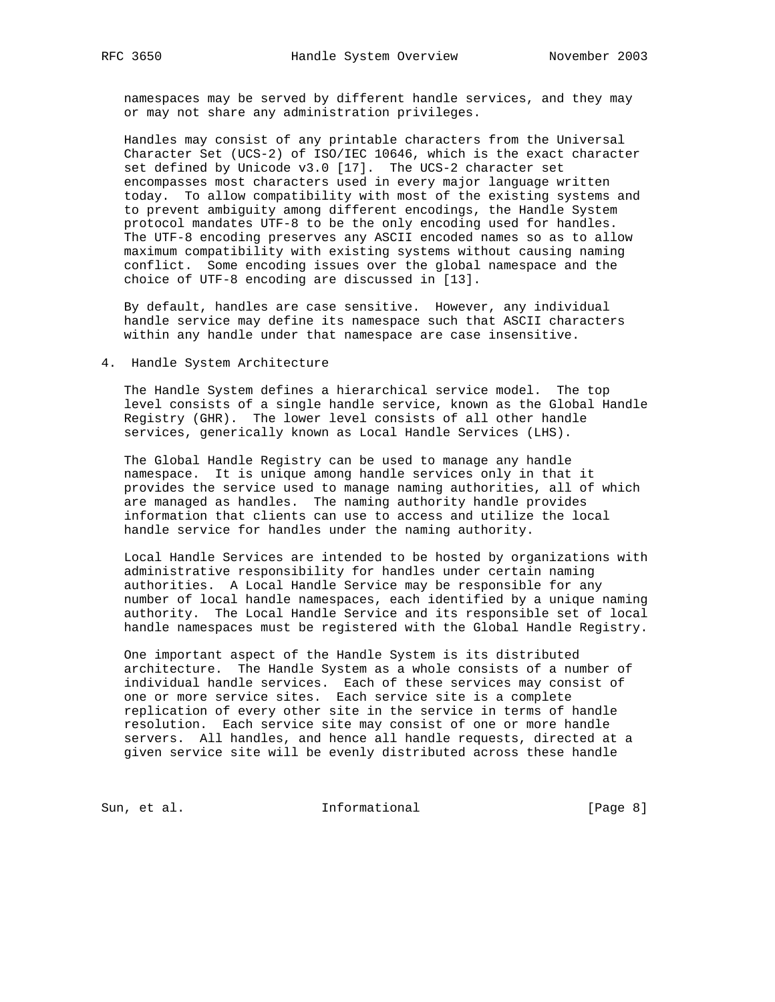namespaces may be served by different handle services, and they may or may not share any administration privileges.

 Handles may consist of any printable characters from the Universal Character Set (UCS-2) of ISO/IEC 10646, which is the exact character set defined by Unicode v3.0 [17]. The UCS-2 character set encompasses most characters used in every major language written today. To allow compatibility with most of the existing systems and to prevent ambiguity among different encodings, the Handle System protocol mandates UTF-8 to be the only encoding used for handles. The UTF-8 encoding preserves any ASCII encoded names so as to allow maximum compatibility with existing systems without causing naming conflict. Some encoding issues over the global namespace and the choice of UTF-8 encoding are discussed in [13].

 By default, handles are case sensitive. However, any individual handle service may define its namespace such that ASCII characters within any handle under that namespace are case insensitive.

4. Handle System Architecture

 The Handle System defines a hierarchical service model. The top level consists of a single handle service, known as the Global Handle Registry (GHR). The lower level consists of all other handle services, generically known as Local Handle Services (LHS).

 The Global Handle Registry can be used to manage any handle namespace. It is unique among handle services only in that it provides the service used to manage naming authorities, all of which are managed as handles. The naming authority handle provides information that clients can use to access and utilize the local handle service for handles under the naming authority.

 Local Handle Services are intended to be hosted by organizations with administrative responsibility for handles under certain naming authorities. A Local Handle Service may be responsible for any number of local handle namespaces, each identified by a unique naming authority. The Local Handle Service and its responsible set of local handle namespaces must be registered with the Global Handle Registry.

 One important aspect of the Handle System is its distributed architecture. The Handle System as a whole consists of a number of individual handle services. Each of these services may consist of one or more service sites. Each service site is a complete replication of every other site in the service in terms of handle resolution. Each service site may consist of one or more handle servers. All handles, and hence all handle requests, directed at a given service site will be evenly distributed across these handle

Sun, et al. 10 1nformational 100 [Page 8]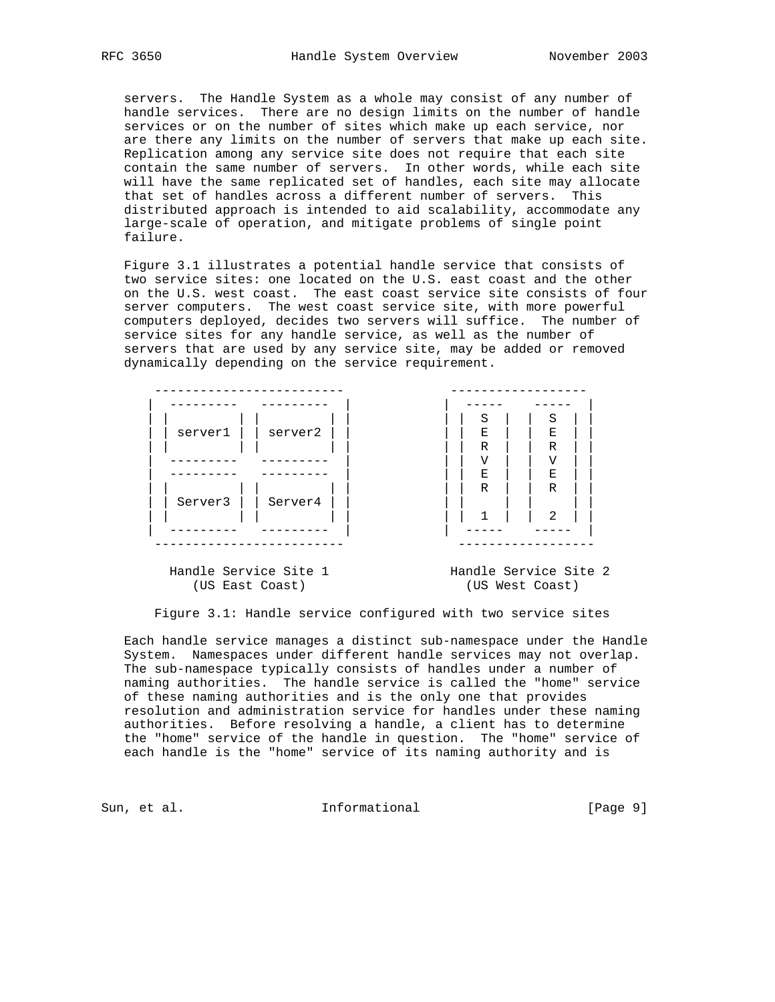servers. The Handle System as a whole may consist of any number of handle services. There are no design limits on the number of handle services or on the number of sites which make up each service, nor are there any limits on the number of servers that make up each site. Replication among any service site does not require that each site contain the same number of servers. In other words, while each site will have the same replicated set of handles, each site may allocate that set of handles across a different number of servers. This distributed approach is intended to aid scalability, accommodate any large-scale of operation, and mitigate problems of single point failure.

 Figure 3.1 illustrates a potential handle service that consists of two service sites: one located on the U.S. east coast and the other on the U.S. west coast. The east coast service site consists of four server computers. The west coast service site, with more powerful computers deployed, decides two servers will suffice. The number of service sites for any handle service, as well as the number of servers that are used by any service site, may be added or removed dynamically depending on the service requirement.

| server2<br>server1   | S<br>F.<br>$\mathbb{R}$ | S<br>Ε        |
|----------------------|-------------------------|---------------|
|                      |                         |               |
|                      |                         |               |
|                      |                         |               |
|                      |                         | R             |
|                      | ۲.7                     | V             |
|                      | F.                      | Е             |
|                      | $\mathbb{R}$            | $\mathbb{R}$  |
| Server3<br>  Server4 |                         |               |
|                      |                         | $\mathcal{L}$ |
|                      |                         |               |
|                      |                         |               |

(US East Coast) (US West Coast)

Handle Service Site 1 Handle Service Site 2

Figure 3.1: Handle service configured with two service sites

 Each handle service manages a distinct sub-namespace under the Handle System. Namespaces under different handle services may not overlap. The sub-namespace typically consists of handles under a number of naming authorities. The handle service is called the "home" service of these naming authorities and is the only one that provides resolution and administration service for handles under these naming authorities. Before resolving a handle, a client has to determine the "home" service of the handle in question. The "home" service of each handle is the "home" service of its naming authority and is

Sun, et al. 10. Informational 1. [Page 9]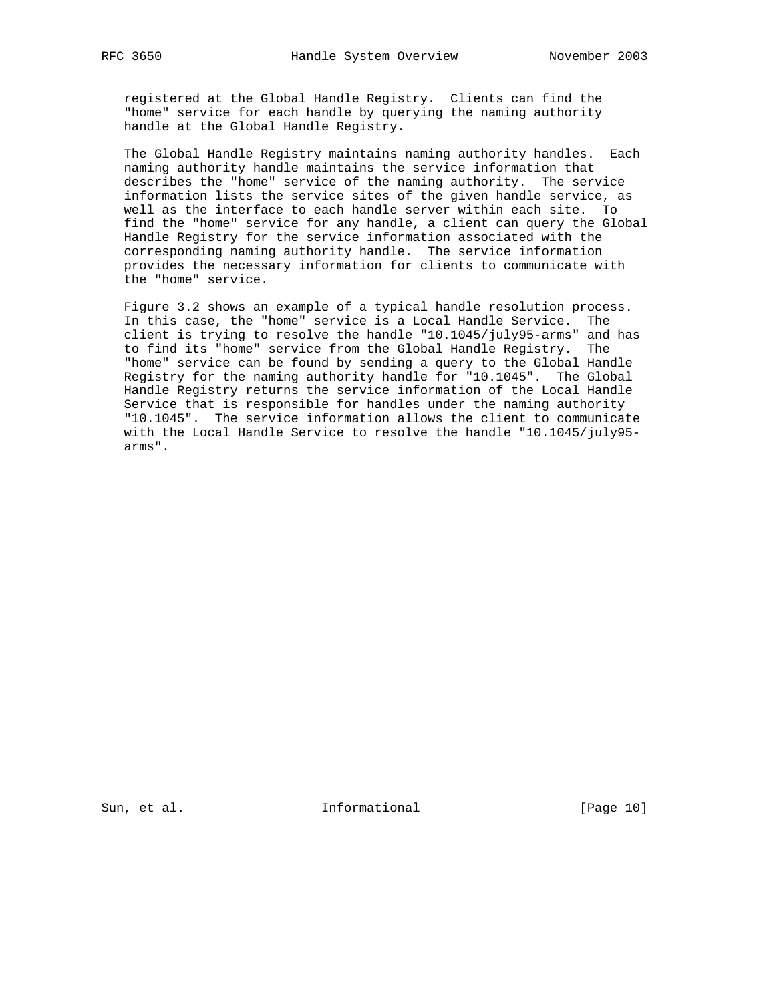registered at the Global Handle Registry. Clients can find the "home" service for each handle by querying the naming authority handle at the Global Handle Registry.

 The Global Handle Registry maintains naming authority handles. Each naming authority handle maintains the service information that describes the "home" service of the naming authority. The service information lists the service sites of the given handle service, as well as the interface to each handle server within each site. To find the "home" service for any handle, a client can query the Global Handle Registry for the service information associated with the corresponding naming authority handle. The service information provides the necessary information for clients to communicate with the "home" service.

 Figure 3.2 shows an example of a typical handle resolution process. In this case, the "home" service is a Local Handle Service. The client is trying to resolve the handle "10.1045/july95-arms" and has to find its "home" service from the Global Handle Registry. The "home" service can be found by sending a query to the Global Handle Registry for the naming authority handle for "10.1045". The Global Handle Registry returns the service information of the Local Handle Service that is responsible for handles under the naming authority "10.1045". The service information allows the client to communicate with the Local Handle Service to resolve the handle "10.1045/july95 arms".

Sun, et al. 10. Informational [Page 10]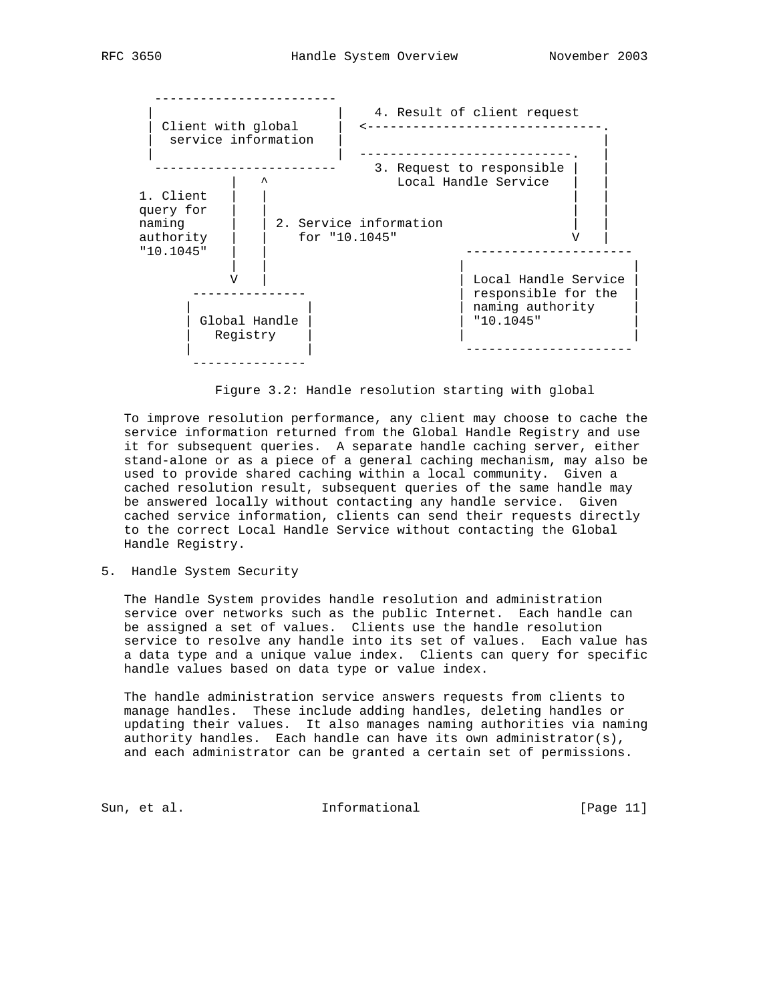

 | | | naming authority | | Global Handle | | "10.1045" | | Registry | | |

Figure 3.2: Handle resolution starting with global

 To improve resolution performance, any client may choose to cache the service information returned from the Global Handle Registry and use it for subsequent queries. A separate handle caching server, either stand-alone or as a piece of a general caching mechanism, may also be used to provide shared caching within a local community. Given a cached resolution result, subsequent queries of the same handle may be answered locally without contacting any handle service. Given cached service information, clients can send their requests directly to the correct Local Handle Service without contacting the Global Handle Registry.

| | ----------------------

5. Handle System Security

---------------

 The Handle System provides handle resolution and administration service over networks such as the public Internet. Each handle can be assigned a set of values. Clients use the handle resolution service to resolve any handle into its set of values. Each value has a data type and a unique value index. Clients can query for specific handle values based on data type or value index.

 The handle administration service answers requests from clients to manage handles. These include adding handles, deleting handles or updating their values. It also manages naming authorities via naming authority handles. Each handle can have its own administrator(s), and each administrator can be granted a certain set of permissions.

Sun, et al. 10. Informational 1. [Page 11]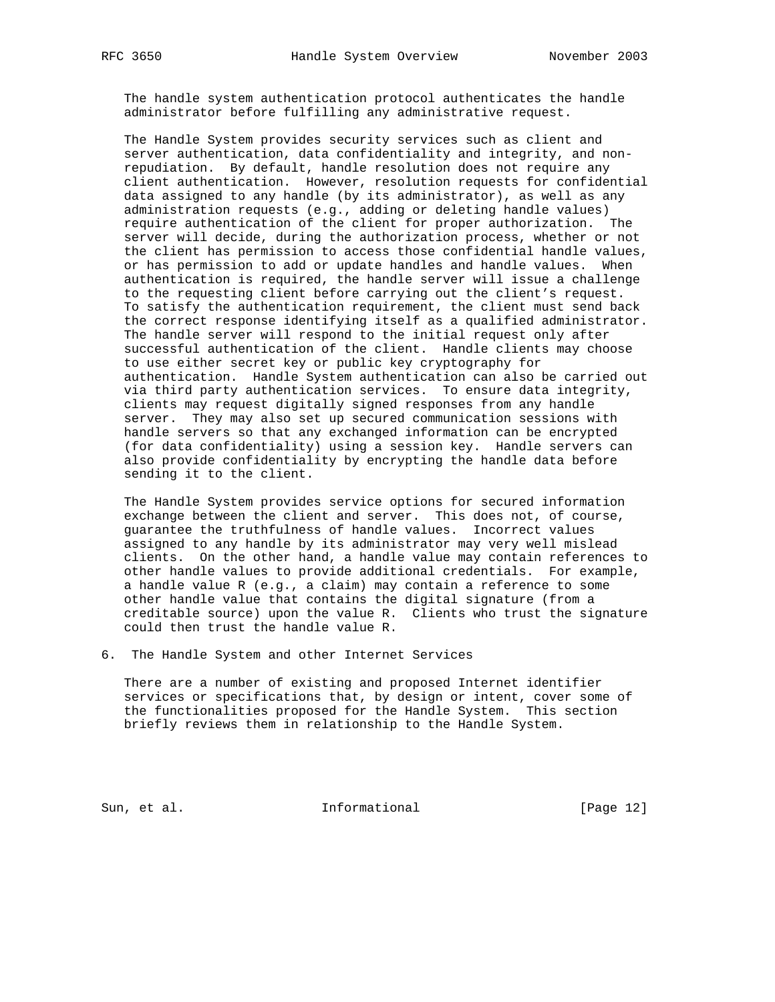The handle system authentication protocol authenticates the handle administrator before fulfilling any administrative request.

 The Handle System provides security services such as client and server authentication, data confidentiality and integrity, and non repudiation. By default, handle resolution does not require any client authentication. However, resolution requests for confidential data assigned to any handle (by its administrator), as well as any administration requests (e.g., adding or deleting handle values) require authentication of the client for proper authorization. The server will decide, during the authorization process, whether or not the client has permission to access those confidential handle values, or has permission to add or update handles and handle values. When authentication is required, the handle server will issue a challenge to the requesting client before carrying out the client's request. To satisfy the authentication requirement, the client must send back the correct response identifying itself as a qualified administrator. The handle server will respond to the initial request only after successful authentication of the client. Handle clients may choose to use either secret key or public key cryptography for authentication. Handle System authentication can also be carried out via third party authentication services. To ensure data integrity, clients may request digitally signed responses from any handle server. They may also set up secured communication sessions with handle servers so that any exchanged information can be encrypted (for data confidentiality) using a session key. Handle servers can also provide confidentiality by encrypting the handle data before sending it to the client.

 The Handle System provides service options for secured information exchange between the client and server. This does not, of course, guarantee the truthfulness of handle values. Incorrect values assigned to any handle by its administrator may very well mislead clients. On the other hand, a handle value may contain references to other handle values to provide additional credentials. For example, a handle value R (e.g., a claim) may contain a reference to some other handle value that contains the digital signature (from a creditable source) upon the value R. Clients who trust the signature could then trust the handle value R.

6. The Handle System and other Internet Services

 There are a number of existing and proposed Internet identifier services or specifications that, by design or intent, cover some of the functionalities proposed for the Handle System. This section briefly reviews them in relationship to the Handle System.

Sun, et al. 10. Informational [Page 12]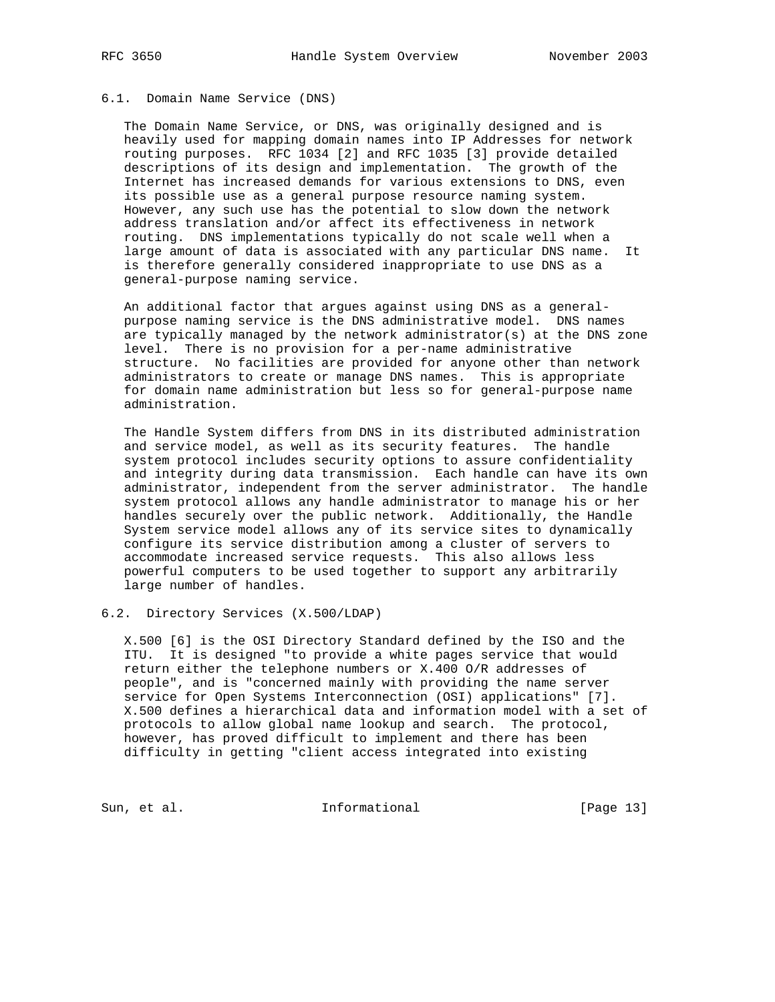### 6.1. Domain Name Service (DNS)

 The Domain Name Service, or DNS, was originally designed and is heavily used for mapping domain names into IP Addresses for network routing purposes. RFC 1034 [2] and RFC 1035 [3] provide detailed descriptions of its design and implementation. The growth of the Internet has increased demands for various extensions to DNS, even its possible use as a general purpose resource naming system. However, any such use has the potential to slow down the network address translation and/or affect its effectiveness in network routing. DNS implementations typically do not scale well when a large amount of data is associated with any particular DNS name. It is therefore generally considered inappropriate to use DNS as a general-purpose naming service.

 An additional factor that argues against using DNS as a general purpose naming service is the DNS administrative model. DNS names are typically managed by the network administrator(s) at the DNS zone level. There is no provision for a per-name administrative structure. No facilities are provided for anyone other than network administrators to create or manage DNS names. This is appropriate for domain name administration but less so for general-purpose name administration.

 The Handle System differs from DNS in its distributed administration and service model, as well as its security features. The handle system protocol includes security options to assure confidentiality and integrity during data transmission. Each handle can have its own administrator, independent from the server administrator. The handle system protocol allows any handle administrator to manage his or her handles securely over the public network. Additionally, the Handle System service model allows any of its service sites to dynamically configure its service distribution among a cluster of servers to accommodate increased service requests. This also allows less powerful computers to be used together to support any arbitrarily large number of handles.

### 6.2. Directory Services (X.500/LDAP)

 X.500 [6] is the OSI Directory Standard defined by the ISO and the ITU. It is designed "to provide a white pages service that would return either the telephone numbers or X.400 O/R addresses of people", and is "concerned mainly with providing the name server service for Open Systems Interconnection (OSI) applications" [7]. X.500 defines a hierarchical data and information model with a set of protocols to allow global name lookup and search. The protocol, however, has proved difficult to implement and there has been difficulty in getting "client access integrated into existing

Sun, et al. 10. Informational [Page 13]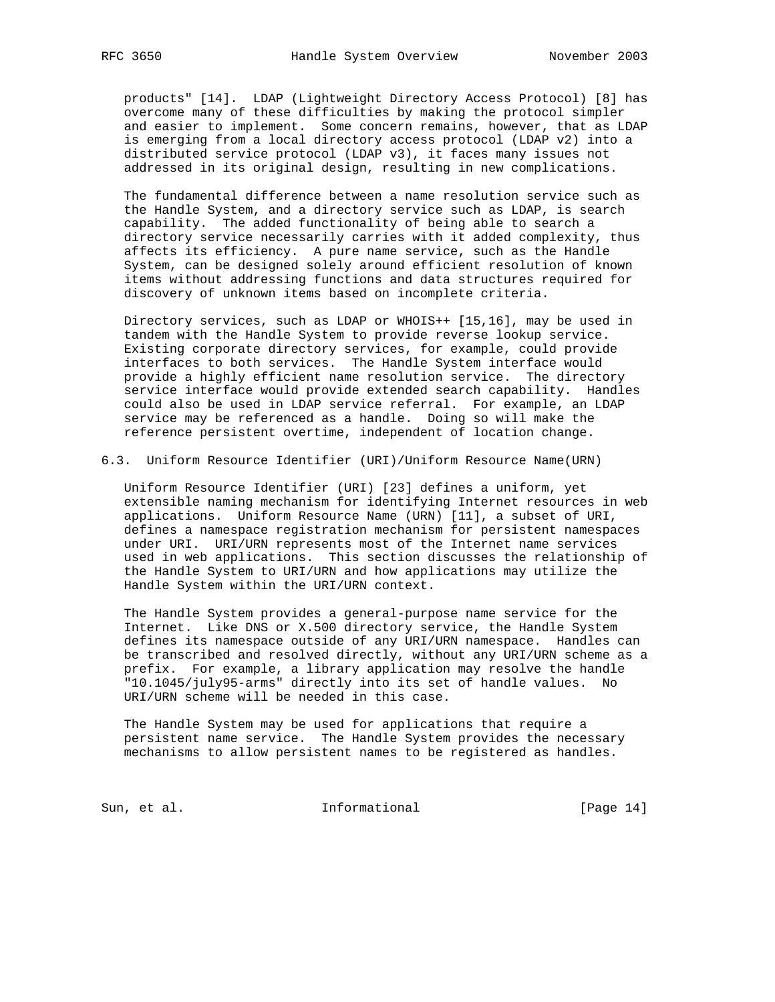products" [14]. LDAP (Lightweight Directory Access Protocol) [8] has overcome many of these difficulties by making the protocol simpler and easier to implement. Some concern remains, however, that as LDAP is emerging from a local directory access protocol (LDAP v2) into a distributed service protocol (LDAP v3), it faces many issues not addressed in its original design, resulting in new complications.

 The fundamental difference between a name resolution service such as the Handle System, and a directory service such as LDAP, is search capability. The added functionality of being able to search a directory service necessarily carries with it added complexity, thus affects its efficiency. A pure name service, such as the Handle System, can be designed solely around efficient resolution of known items without addressing functions and data structures required for discovery of unknown items based on incomplete criteria.

 Directory services, such as LDAP or WHOIS++ [15,16], may be used in tandem with the Handle System to provide reverse lookup service. Existing corporate directory services, for example, could provide interfaces to both services. The Handle System interface would provide a highly efficient name resolution service. The directory service interface would provide extended search capability. Handles could also be used in LDAP service referral. For example, an LDAP service may be referenced as a handle. Doing so will make the reference persistent overtime, independent of location change.

## 6.3. Uniform Resource Identifier (URI)/Uniform Resource Name(URN)

 Uniform Resource Identifier (URI) [23] defines a uniform, yet extensible naming mechanism for identifying Internet resources in web applications. Uniform Resource Name (URN) [11], a subset of URI, defines a namespace registration mechanism for persistent namespaces under URI. URI/URN represents most of the Internet name services used in web applications. This section discusses the relationship of the Handle System to URI/URN and how applications may utilize the Handle System within the URI/URN context.

 The Handle System provides a general-purpose name service for the Internet. Like DNS or X.500 directory service, the Handle System defines its namespace outside of any URI/URN namespace. Handles can be transcribed and resolved directly, without any URI/URN scheme as a prefix. For example, a library application may resolve the handle "10.1045/july95-arms" directly into its set of handle values. No URI/URN scheme will be needed in this case.

 The Handle System may be used for applications that require a persistent name service. The Handle System provides the necessary mechanisms to allow persistent names to be registered as handles.

Sun, et al. 10. Informational [Page 14]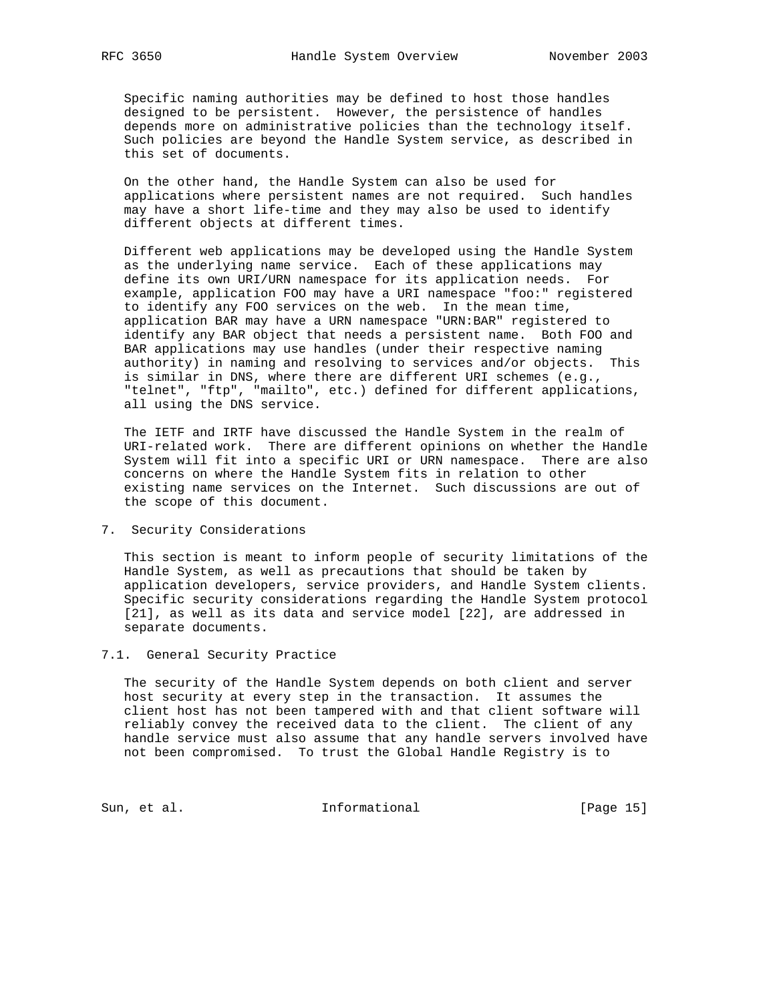Specific naming authorities may be defined to host those handles designed to be persistent. However, the persistence of handles depends more on administrative policies than the technology itself. Such policies are beyond the Handle System service, as described in this set of documents.

 On the other hand, the Handle System can also be used for applications where persistent names are not required. Such handles may have a short life-time and they may also be used to identify different objects at different times.

 Different web applications may be developed using the Handle System as the underlying name service. Each of these applications may define its own URI/URN namespace for its application needs. For example, application FOO may have a URI namespace "foo:" registered to identify any FOO services on the web. In the mean time, application BAR may have a URN namespace "URN:BAR" registered to identify any BAR object that needs a persistent name. Both FOO and BAR applications may use handles (under their respective naming authority) in naming and resolving to services and/or objects. This is similar in DNS, where there are different URI schemes (e.g., "telnet", "ftp", "mailto", etc.) defined for different applications, all using the DNS service.

 The IETF and IRTF have discussed the Handle System in the realm of URI-related work. There are different opinions on whether the Handle System will fit into a specific URI or URN namespace. There are also concerns on where the Handle System fits in relation to other existing name services on the Internet. Such discussions are out of the scope of this document.

7. Security Considerations

 This section is meant to inform people of security limitations of the Handle System, as well as precautions that should be taken by application developers, service providers, and Handle System clients. Specific security considerations regarding the Handle System protocol [21], as well as its data and service model [22], are addressed in separate documents.

7.1. General Security Practice

 The security of the Handle System depends on both client and server host security at every step in the transaction. It assumes the client host has not been tampered with and that client software will reliably convey the received data to the client. The client of any handle service must also assume that any handle servers involved have not been compromised. To trust the Global Handle Registry is to

Sun, et al. 10. Informational [Page 15]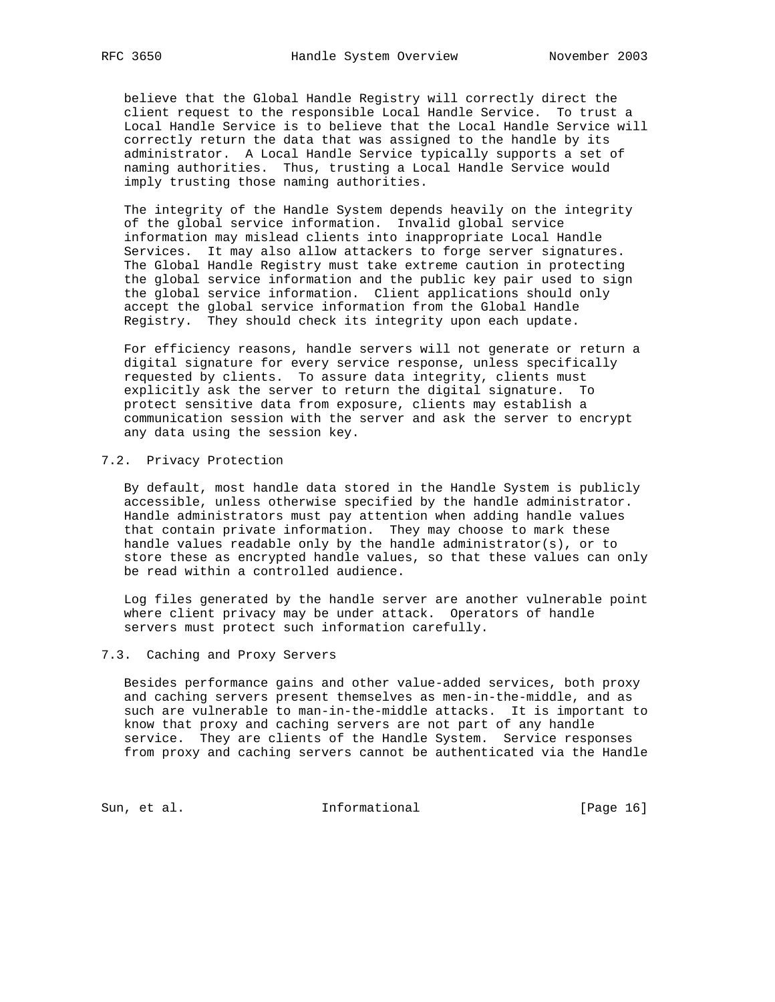believe that the Global Handle Registry will correctly direct the client request to the responsible Local Handle Service. To trust a Local Handle Service is to believe that the Local Handle Service will correctly return the data that was assigned to the handle by its administrator. A Local Handle Service typically supports a set of naming authorities. Thus, trusting a Local Handle Service would imply trusting those naming authorities.

 The integrity of the Handle System depends heavily on the integrity of the global service information. Invalid global service information may mislead clients into inappropriate Local Handle Services. It may also allow attackers to forge server signatures. The Global Handle Registry must take extreme caution in protecting the global service information and the public key pair used to sign the global service information. Client applications should only accept the global service information from the Global Handle Registry. They should check its integrity upon each update.

 For efficiency reasons, handle servers will not generate or return a digital signature for every service response, unless specifically requested by clients. To assure data integrity, clients must explicitly ask the server to return the digital signature. To protect sensitive data from exposure, clients may establish a communication session with the server and ask the server to encrypt any data using the session key.

# 7.2. Privacy Protection

 By default, most handle data stored in the Handle System is publicly accessible, unless otherwise specified by the handle administrator. Handle administrators must pay attention when adding handle values that contain private information. They may choose to mark these handle values readable only by the handle administrator(s), or to store these as encrypted handle values, so that these values can only be read within a controlled audience.

 Log files generated by the handle server are another vulnerable point where client privacy may be under attack. Operators of handle servers must protect such information carefully.

# 7.3. Caching and Proxy Servers

 Besides performance gains and other value-added services, both proxy and caching servers present themselves as men-in-the-middle, and as such are vulnerable to man-in-the-middle attacks. It is important to know that proxy and caching servers are not part of any handle service. They are clients of the Handle System. Service responses from proxy and caching servers cannot be authenticated via the Handle

Sun, et al. 10. Informational [Page 16]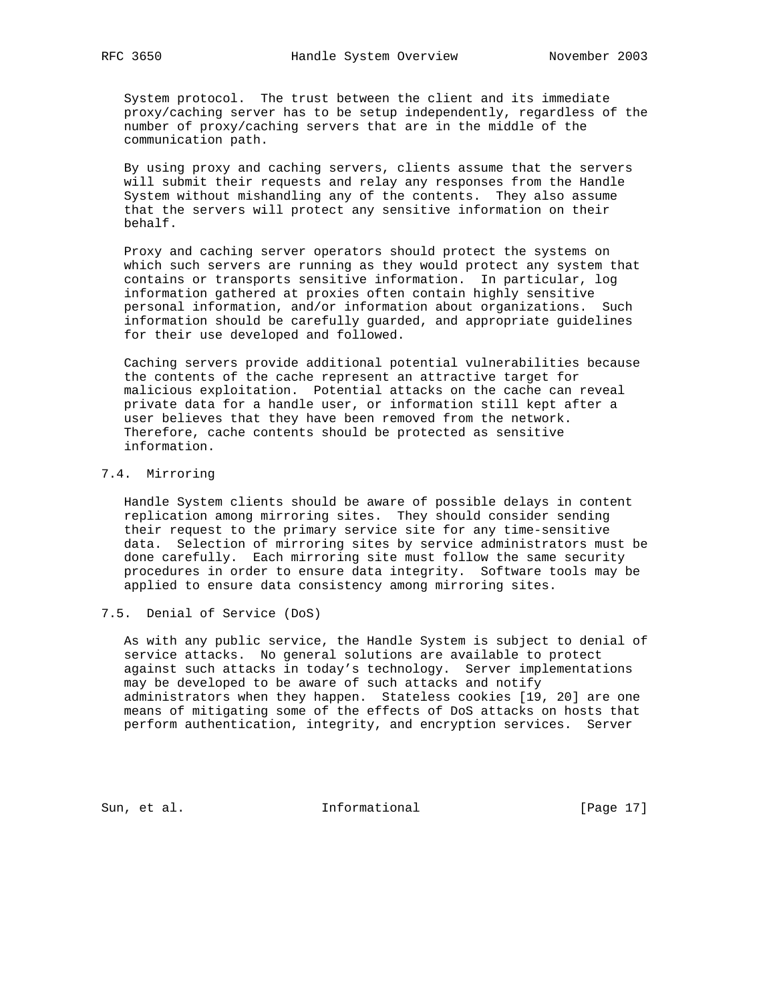System protocol. The trust between the client and its immediate proxy/caching server has to be setup independently, regardless of the number of proxy/caching servers that are in the middle of the communication path.

 By using proxy and caching servers, clients assume that the servers will submit their requests and relay any responses from the Handle System without mishandling any of the contents. They also assume that the servers will protect any sensitive information on their behalf.

 Proxy and caching server operators should protect the systems on which such servers are running as they would protect any system that contains or transports sensitive information. In particular, log information gathered at proxies often contain highly sensitive personal information, and/or information about organizations. Such information should be carefully guarded, and appropriate guidelines for their use developed and followed.

 Caching servers provide additional potential vulnerabilities because the contents of the cache represent an attractive target for malicious exploitation. Potential attacks on the cache can reveal private data for a handle user, or information still kept after a user believes that they have been removed from the network. Therefore, cache contents should be protected as sensitive information.

# 7.4. Mirroring

 Handle System clients should be aware of possible delays in content replication among mirroring sites. They should consider sending their request to the primary service site for any time-sensitive data. Selection of mirroring sites by service administrators must be done carefully. Each mirroring site must follow the same security procedures in order to ensure data integrity. Software tools may be applied to ensure data consistency among mirroring sites.

# 7.5. Denial of Service (DoS)

 As with any public service, the Handle System is subject to denial of service attacks. No general solutions are available to protect against such attacks in today's technology. Server implementations may be developed to be aware of such attacks and notify administrators when they happen. Stateless cookies [19, 20] are one means of mitigating some of the effects of DoS attacks on hosts that perform authentication, integrity, and encryption services. Server

Sun, et al. 10. Informational [Page 17]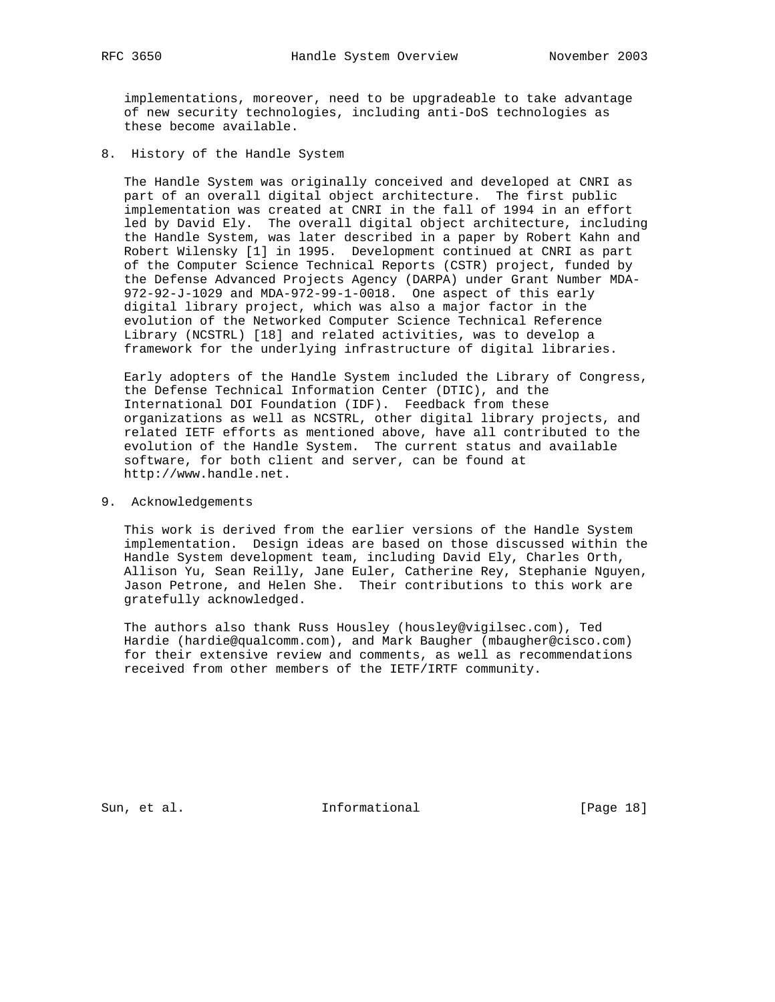implementations, moreover, need to be upgradeable to take advantage of new security technologies, including anti-DoS technologies as these become available.

8. History of the Handle System

 The Handle System was originally conceived and developed at CNRI as part of an overall digital object architecture. The first public implementation was created at CNRI in the fall of 1994 in an effort led by David Ely. The overall digital object architecture, including the Handle System, was later described in a paper by Robert Kahn and Robert Wilensky [1] in 1995. Development continued at CNRI as part of the Computer Science Technical Reports (CSTR) project, funded by the Defense Advanced Projects Agency (DARPA) under Grant Number MDA- 972-92-J-1029 and MDA-972-99-1-0018. One aspect of this early digital library project, which was also a major factor in the evolution of the Networked Computer Science Technical Reference Library (NCSTRL) [18] and related activities, was to develop a framework for the underlying infrastructure of digital libraries.

 Early adopters of the Handle System included the Library of Congress, the Defense Technical Information Center (DTIC), and the International DOI Foundation (IDF). Feedback from these organizations as well as NCSTRL, other digital library projects, and related IETF efforts as mentioned above, have all contributed to the evolution of the Handle System. The current status and available software, for both client and server, can be found at http://www.handle.net.

9. Acknowledgements

 This work is derived from the earlier versions of the Handle System implementation. Design ideas are based on those discussed within the Handle System development team, including David Ely, Charles Orth, Allison Yu, Sean Reilly, Jane Euler, Catherine Rey, Stephanie Nguyen, Jason Petrone, and Helen She. Their contributions to this work are gratefully acknowledged.

 The authors also thank Russ Housley (housley@vigilsec.com), Ted Hardie (hardie@qualcomm.com), and Mark Baugher (mbaugher@cisco.com) for their extensive review and comments, as well as recommendations received from other members of the IETF/IRTF community.

Sun, et al. 10. Informational [Page 18]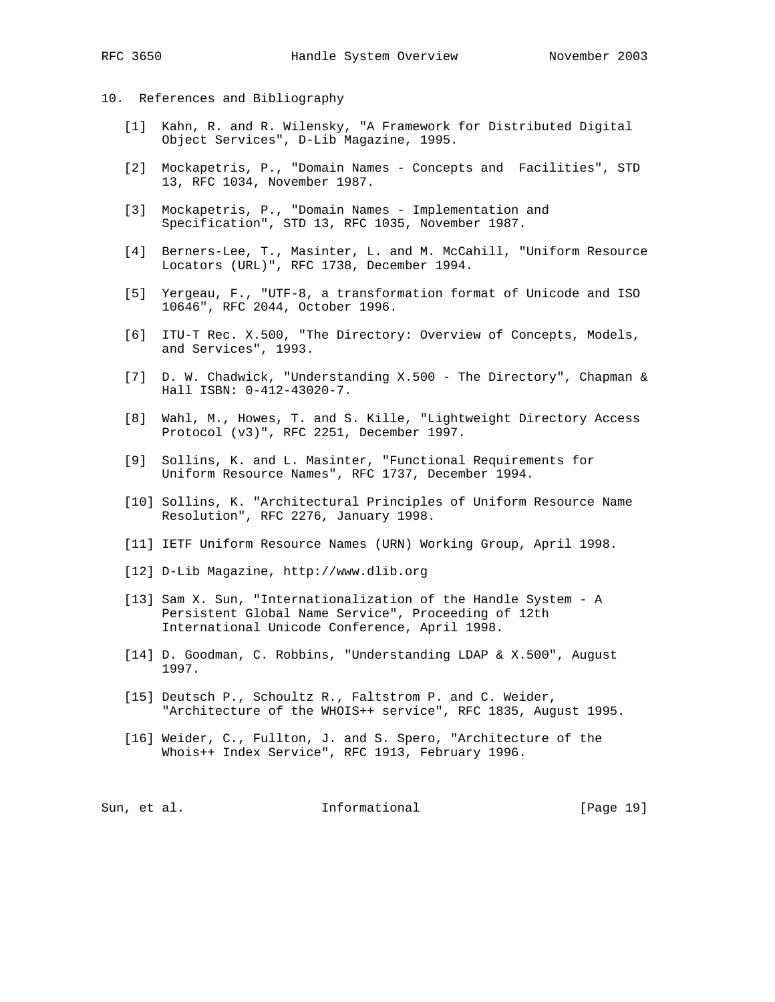# 10. References and Bibliography

- [1] Kahn, R. and R. Wilensky, "A Framework for Distributed Digital Object Services", D-Lib Magazine, 1995.
- [2] Mockapetris, P., "Domain Names Concepts and Facilities", STD 13, RFC 1034, November 1987.
- [3] Mockapetris, P., "Domain Names Implementation and Specification", STD 13, RFC 1035, November 1987.
- [4] Berners-Lee, T., Masinter, L. and M. McCahill, "Uniform Resource Locators (URL)", RFC 1738, December 1994.
- [5] Yergeau, F., "UTF-8, a transformation format of Unicode and ISO 10646", RFC 2044, October 1996.
- [6] ITU-T Rec. X.500, "The Directory: Overview of Concepts, Models, and Services", 1993.
- [7] D. W. Chadwick, "Understanding X.500 The Directory", Chapman & Hall ISBN: 0-412-43020-7.
- [8] Wahl, M., Howes, T. and S. Kille, "Lightweight Directory Access Protocol (v3)", RFC 2251, December 1997.
- [9] Sollins, K. and L. Masinter, "Functional Requirements for Uniform Resource Names", RFC 1737, December 1994.
- [10] Sollins, K. "Architectural Principles of Uniform Resource Name Resolution", RFC 2276, January 1998.
- [11] IETF Uniform Resource Names (URN) Working Group, April 1998.
- [12] D-Lib Magazine, http://www.dlib.org
- [13] Sam X. Sun, "Internationalization of the Handle System A Persistent Global Name Service", Proceeding of 12th International Unicode Conference, April 1998.
- [14] D. Goodman, C. Robbins, "Understanding LDAP & X.500", August 1997.
- [15] Deutsch P., Schoultz R., Faltstrom P. and C. Weider, "Architecture of the WHOIS++ service", RFC 1835, August 1995.
- [16] Weider, C., Fullton, J. and S. Spero, "Architecture of the Whois++ Index Service", RFC 1913, February 1996.

Sun, et al. 10. Informational [Page 19]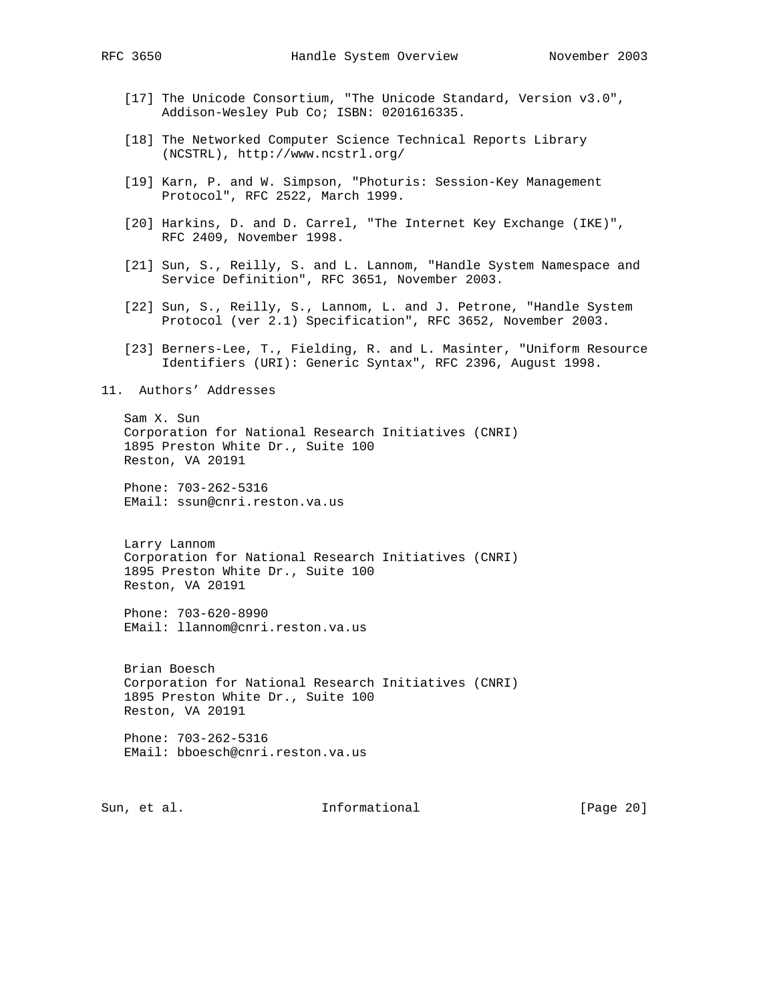- [17] The Unicode Consortium, "The Unicode Standard, Version v3.0", Addison-Wesley Pub Co; ISBN: 0201616335.
- [18] The Networked Computer Science Technical Reports Library (NCSTRL), http://www.ncstrl.org/
- [19] Karn, P. and W. Simpson, "Photuris: Session-Key Management Protocol", RFC 2522, March 1999.
- [20] Harkins, D. and D. Carrel, "The Internet Key Exchange (IKE)", RFC 2409, November 1998.
- [21] Sun, S., Reilly, S. and L. Lannom, "Handle System Namespace and Service Definition", RFC 3651, November 2003.
- [22] Sun, S., Reilly, S., Lannom, L. and J. Petrone, "Handle System Protocol (ver 2.1) Specification", RFC 3652, November 2003.
- [23] Berners-Lee, T., Fielding, R. and L. Masinter, "Uniform Resource Identifiers (URI): Generic Syntax", RFC 2396, August 1998.
- 11. Authors' Addresses

 Sam X. Sun Corporation for National Research Initiatives (CNRI) 1895 Preston White Dr., Suite 100 Reston, VA 20191

 Phone: 703-262-5316 EMail: ssun@cnri.reston.va.us

 Larry Lannom Corporation for National Research Initiatives (CNRI) 1895 Preston White Dr., Suite 100 Reston, VA 20191

 Phone: 703-620-8990 EMail: llannom@cnri.reston.va.us

 Brian Boesch Corporation for National Research Initiatives (CNRI) 1895 Preston White Dr., Suite 100 Reston, VA 20191

 Phone: 703-262-5316 EMail: bboesch@cnri.reston.va.us

Sun, et al. 10. Informational 1. [Page 20]